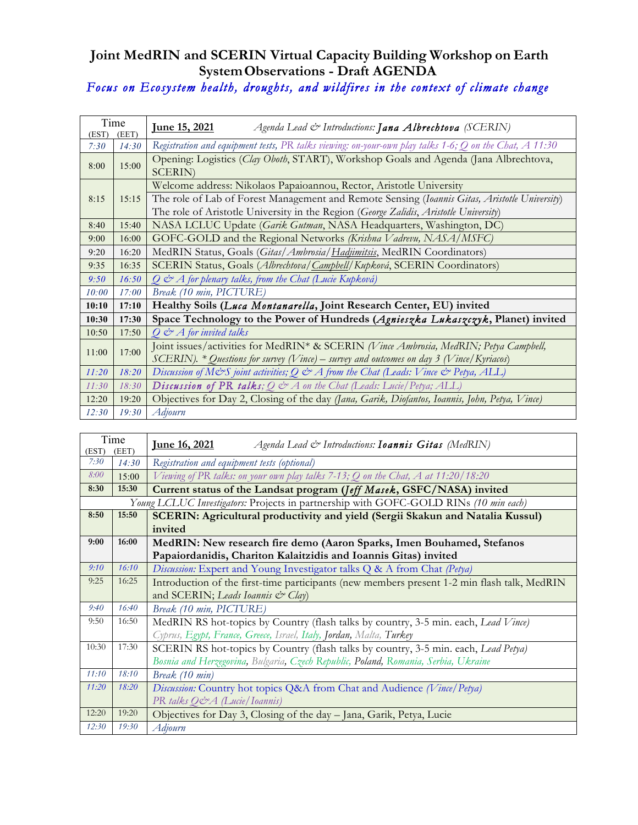## **Joint MedRIN and SCERIN Virtual Capacity Building Workshop on Earth SystemObservations - Draft AGENDA**

## *Focus on Ecosystem health, droughts, and wildfires in the context of climate change*

| Time<br>(EET)<br>(EST) |       | <u>June 15, 2021</u><br>Agenda Lead & Introductions: Jana Albrechtova (SCERIN)                             |  |  |
|------------------------|-------|------------------------------------------------------------------------------------------------------------|--|--|
| 7:30                   | 14:30 | Registration and equipment tests, PR talks viewing: on-your-own play talks 1-6; $Q$ on the Chat, $A$ 11:30 |  |  |
| 8:00                   | 15:00 | Opening: Logistics (Clay Oboth, START), Workshop Goals and Agenda (Jana Albrechtova,<br><b>SCERIN</b> )    |  |  |
| 8:15                   | 15:15 | Welcome address: Nikolaos Papaioannou, Rector, Aristotle University                                        |  |  |
|                        |       | The role of Lab of Forest Management and Remote Sensing (Ioannis Gitas, Aristotle University)              |  |  |
|                        |       | The role of Aristotle University in the Region (George Zalidis, Aristotle University)                      |  |  |
| 8:40                   | 15:40 | NASA LCLUC Update (Garik Gutman, NASA Headquarters, Washington, DC)                                        |  |  |
| 9:00                   | 16:00 | GOFC-GOLD and the Regional Networks (Krishna Vadrevu, NASA/MSFC)                                           |  |  |
| 9:20                   | 16:20 | MedRIN Status, Goals (Gitas/Ambrosia/Hadjimitsis, MedRIN Coordinators)                                     |  |  |
| 9:35                   | 16:35 | SCERIN Status, Goals (Albrechtova/Campbell/Kupková, SCERIN Coordinators)                                   |  |  |
| 9:50                   | 16:50 | $Q \n\ll A$ for plenary talks, from the Chat (Lucie Kupková)                                               |  |  |
| 10:00                  | 17:00 | Break (10 min, PICTURE)                                                                                    |  |  |
| 10:10                  | 17:10 | Healthy Soils (Luca Montanarella, Joint Research Center, EU) invited                                       |  |  |
| 10:30                  | 17:30 | Space Technology to the Power of Hundreds (Agnieszka Lukaszczyk, Planet) invited                           |  |  |
| 10:50                  | 17:50 | $Q \n\mathcal{O} A$ for invited talks                                                                      |  |  |
|                        | 17:00 | Joint issues/activities for MedRIN* & SCERIN (Vince Ambrosia, MedRIN; Petya Campbell,                      |  |  |
| 11:00                  |       | SCERIN). * Questions for survey (Vince) – survey and outcomes on day 3 (Vince/Kyriacos)                    |  |  |
| 11:20                  | 18:20 | Discussion of M&S joint activities; Q & A from the Chat (Leads: Vince & Petya, ALL)                        |  |  |
| 11:30                  | 18:30 | <b>Discussion of PR talks</b> ; $Q \, \text{d}^{\circ}$ A on the Chat (Leads: Lucie/Petya; ALL)            |  |  |
| 12:20                  | 19:20 | Objectives for Day 2, Closing of the day (Jana, Garik, Diofantos, Ioannis, John, Petya, Vince)             |  |  |
| 12:30                  | 19:30 | Adjourn                                                                                                    |  |  |

| Time<br>(EST)<br>(EET) |                                                                                      | <u>June 16, 2021</u><br>Agenda Lead & Introductions: <b>Ioannis Gitas</b> (MedRIN)          |  |  |  |  |
|------------------------|--------------------------------------------------------------------------------------|---------------------------------------------------------------------------------------------|--|--|--|--|
| 7:30                   | 14:30                                                                                | Registration and equipment tests (optional)                                                 |  |  |  |  |
| 8:00                   | 15:00                                                                                | Viewing of PR talks: on your own play talks 7-13; Q on the Chat, A at 11:20/18:20           |  |  |  |  |
| 8:30                   | 15:30                                                                                | Current status of the Landsat program (Jeff Masek, GSFC/NASA) invited                       |  |  |  |  |
|                        | Young LCLUC Investigators: Projects in partnership with GOFC-GOLD RINs (10 min each) |                                                                                             |  |  |  |  |
| 8:50                   | 15:50                                                                                | SCERIN: Agricultural productivity and yield (Sergii Skakun and Natalia Kussul)              |  |  |  |  |
|                        |                                                                                      | invited                                                                                     |  |  |  |  |
| 9:00                   | 16:00                                                                                | MedRIN: New research fire demo (Aaron Sparks, Imen Bouhamed, Stefanos                       |  |  |  |  |
|                        |                                                                                      | Papaiordanidis, Chariton Kalaitzidis and Ioannis Gitas) invited                             |  |  |  |  |
| 9:10                   | 16:10                                                                                | Discussion: Expert and Young Investigator talks Q & A from Chat (Petya)                     |  |  |  |  |
| 9:25                   | 16:25                                                                                | Introduction of the first-time participants (new members present 1-2 min flash talk, MedRIN |  |  |  |  |
|                        |                                                                                      | and SCERIN; Leads Ioannis & Clay)                                                           |  |  |  |  |
| 9:40                   | 16:40                                                                                | Break (10 min, PICTURE)                                                                     |  |  |  |  |
| 9:50                   | 16:50                                                                                | MedRIN RS hot-topics by Country (flash talks by country, 3-5 min. each, Lead Vince)         |  |  |  |  |
|                        |                                                                                      | Cyprus, Egypt, France, Greece, Israel, Italy, Jordan, Malta, Turkey                         |  |  |  |  |
| 10:30                  | 17:30                                                                                | SCERIN RS hot-topics by Country (flash talks by country, 3-5 min. each, Lead Petya)         |  |  |  |  |
|                        |                                                                                      | Bosnia and Herzegovina, Bulgaria, Czech Republic, Poland, Romania, Serbia, Ukraine          |  |  |  |  |
| 11:10                  | 18:10                                                                                | Break (10 min)                                                                              |  |  |  |  |
| 11:20                  | 18:20                                                                                | Discussion: Country hot topics Q&A from Chat and Audience (Vince/Petya)                     |  |  |  |  |
|                        |                                                                                      | PR talks Q&A (Lucie/Ioannis)                                                                |  |  |  |  |
| 12:20                  | 19:20                                                                                | Objectives for Day 3, Closing of the day - Jana, Garik, Petya, Lucie                        |  |  |  |  |
| 12:30                  | 19:30                                                                                | Adjourn                                                                                     |  |  |  |  |